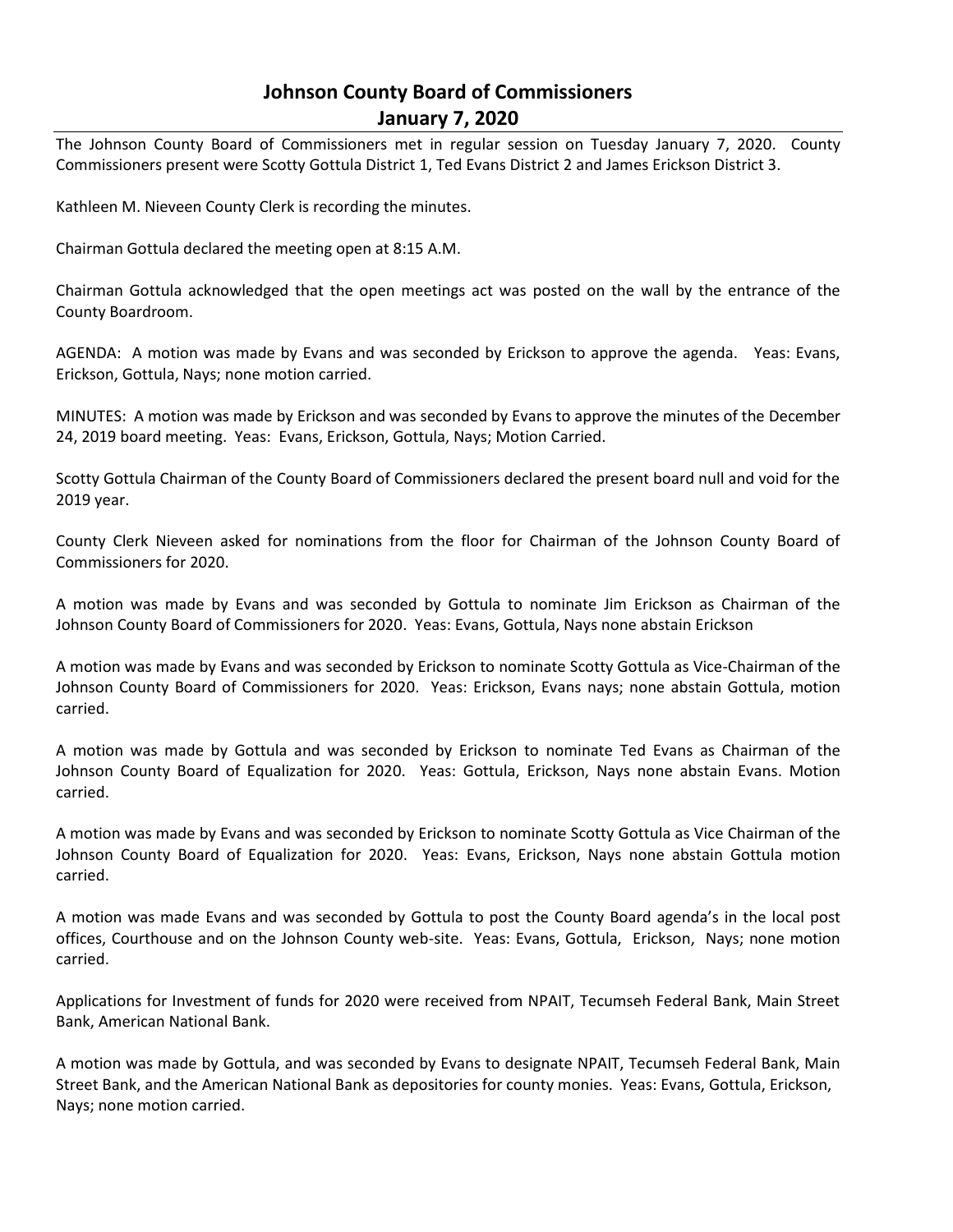# **Johnson County Board of Commissioners January 7, 2020**

The Johnson County Board of Commissioners met in regular session on Tuesday January 7, 2020. County Commissioners present were Scotty Gottula District 1, Ted Evans District 2 and James Erickson District 3.

Kathleen M. Nieveen County Clerk is recording the minutes.

Chairman Gottula declared the meeting open at 8:15 A.M.

Chairman Gottula acknowledged that the open meetings act was posted on the wall by the entrance of the County Boardroom.

AGENDA: A motion was made by Evans and was seconded by Erickson to approve the agenda. Yeas: Evans, Erickson, Gottula, Nays; none motion carried.

MINUTES: A motion was made by Erickson and was seconded by Evans to approve the minutes of the December 24, 2019 board meeting. Yeas: Evans, Erickson, Gottula, Nays; Motion Carried.

Scotty Gottula Chairman of the County Board of Commissioners declared the present board null and void for the 2019 year.

County Clerk Nieveen asked for nominations from the floor for Chairman of the Johnson County Board of Commissioners for 2020.

A motion was made by Evans and was seconded by Gottula to nominate Jim Erickson as Chairman of the Johnson County Board of Commissioners for 2020. Yeas: Evans, Gottula, Nays none abstain Erickson

A motion was made by Evans and was seconded by Erickson to nominate Scotty Gottula as Vice-Chairman of the Johnson County Board of Commissioners for 2020. Yeas: Erickson, Evans nays; none abstain Gottula, motion carried.

A motion was made by Gottula and was seconded by Erickson to nominate Ted Evans as Chairman of the Johnson County Board of Equalization for 2020. Yeas: Gottula, Erickson, Nays none abstain Evans. Motion carried.

A motion was made by Evans and was seconded by Erickson to nominate Scotty Gottula as Vice Chairman of the Johnson County Board of Equalization for 2020. Yeas: Evans, Erickson, Nays none abstain Gottula motion carried.

A motion was made Evans and was seconded by Gottula to post the County Board agenda's in the local post offices, Courthouse and on the Johnson County web-site. Yeas: Evans, Gottula, Erickson, Nays; none motion carried.

Applications for Investment of funds for 2020 were received from NPAIT, Tecumseh Federal Bank, Main Street Bank, American National Bank.

A motion was made by Gottula, and was seconded by Evans to designate NPAIT, Tecumseh Federal Bank, Main Street Bank, and the American National Bank as depositories for county monies. Yeas: Evans, Gottula, Erickson, Nays; none motion carried.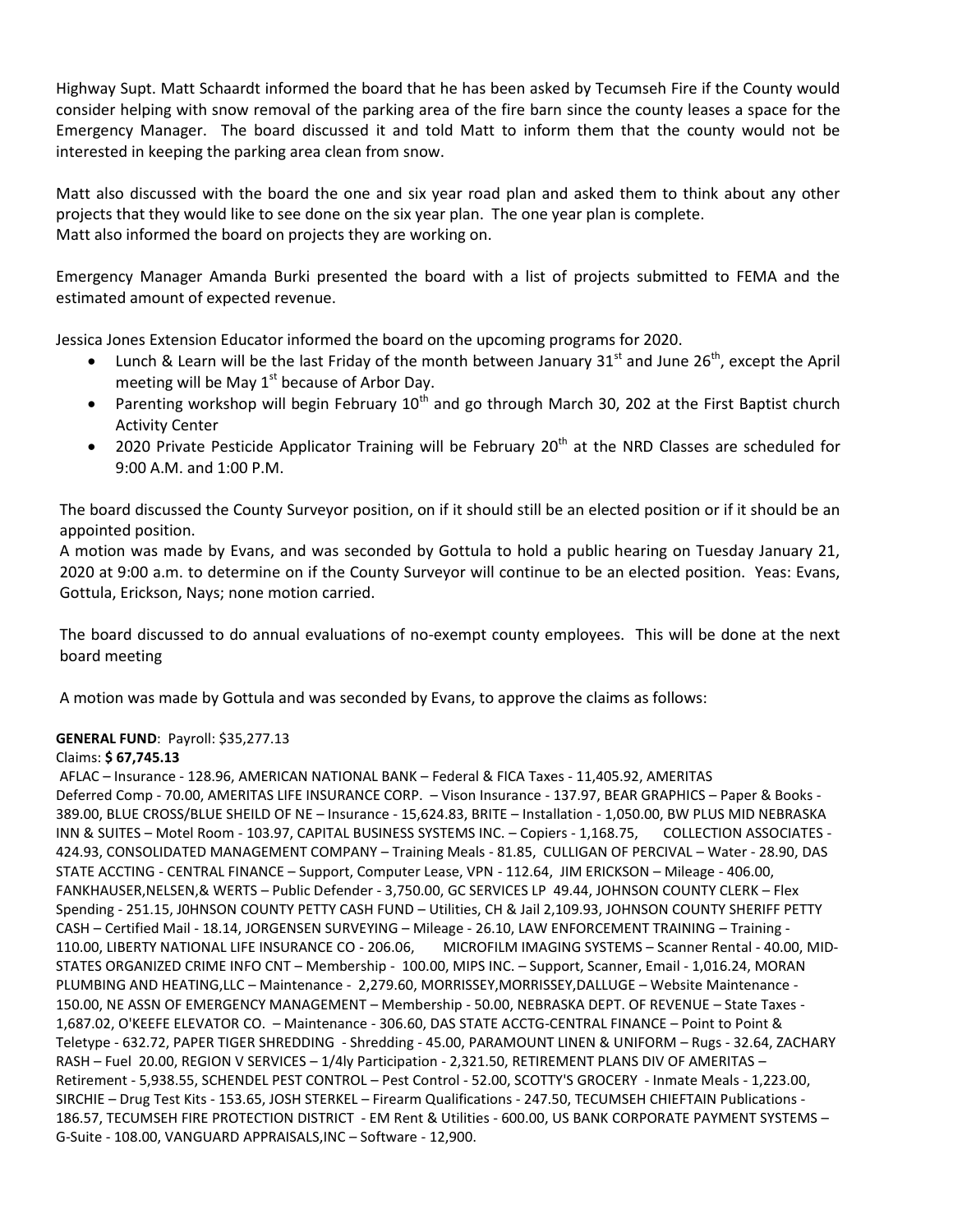Highway Supt. Matt Schaardt informed the board that he has been asked by Tecumseh Fire if the County would consider helping with snow removal of the parking area of the fire barn since the county leases a space for the Emergency Manager. The board discussed it and told Matt to inform them that the county would not be interested in keeping the parking area clean from snow.

Matt also discussed with the board the one and six year road plan and asked them to think about any other projects that they would like to see done on the six year plan. The one year plan is complete. Matt also informed the board on projects they are working on.

Emergency Manager Amanda Burki presented the board with a list of projects submitted to FEMA and the estimated amount of expected revenue.

Jessica Jones Extension Educator informed the board on the upcoming programs for 2020.

- Lunch & Learn will be the last Friday of the month between January 31<sup>st</sup> and June 26<sup>th</sup>, except the April meeting will be May  $1<sup>st</sup>$  because of Arbor Day.
- Parenting workshop will begin February  $10<sup>th</sup>$  and go through March 30, 202 at the First Baptist church Activity Center
- 2020 Private Pesticide Applicator Training will be February 20<sup>th</sup> at the NRD Classes are scheduled for 9:00 A.M. and 1:00 P.M.

The board discussed the County Surveyor position, on if it should still be an elected position or if it should be an appointed position.

A motion was made by Evans, and was seconded by Gottula to hold a public hearing on Tuesday January 21, 2020 at 9:00 a.m. to determine on if the County Surveyor will continue to be an elected position. Yeas: Evans, Gottula, Erickson, Nays; none motion carried.

The board discussed to do annual evaluations of no-exempt county employees. This will be done at the next board meeting

A motion was made by Gottula and was seconded by Evans, to approve the claims as follows:

# **GENERAL FUND**: Payroll: \$35,277.13

## Claims: **\$ 67,745.13**

AFLAC – Insurance - 128.96, AMERICAN NATIONAL BANK – Federal & FICA Taxes - 11,405.92, AMERITAS Deferred Comp - 70.00, AMERITAS LIFE INSURANCE CORP. – Vison Insurance - 137.97, BEAR GRAPHICS – Paper & Books - 389.00, BLUE CROSS/BLUE SHEILD OF NE – Insurance - 15,624.83, BRITE – Installation - 1,050.00, BW PLUS MID NEBRASKA INN & SUITES – Motel Room - 103.97, CAPITAL BUSINESS SYSTEMS INC. – Copiers - 1,168.75, COLLECTION ASSOCIATES - 424.93, CONSOLIDATED MANAGEMENT COMPANY – Training Meals - 81.85, CULLIGAN OF PERCIVAL – Water - 28.90, DAS STATE ACCTING - CENTRAL FINANCE – Support, Computer Lease, VPN - 112.64, JIM ERICKSON – Mileage - 406.00, FANKHAUSER,NELSEN,& WERTS – Public Defender - 3,750.00, GC SERVICES LP 49.44, JOHNSON COUNTY CLERK – Flex Spending - 251.15, J0HNSON COUNTY PETTY CASH FUND – Utilities, CH & Jail 2,109.93, JOHNSON COUNTY SHERIFF PETTY CASH – Certified Mail - 18.14, JORGENSEN SURVEYING – Mileage - 26.10, LAW ENFORCEMENT TRAINING – Training - 110.00, LIBERTY NATIONAL LIFE INSURANCE CO - 206.06, MICROFILM IMAGING SYSTEMS – Scanner Rental - 40.00, MID-STATES ORGANIZED CRIME INFO CNT – Membership - 100.00, MIPS INC. – Support, Scanner, Email - 1,016.24, MORAN PLUMBING AND HEATING,LLC – Maintenance - 2,279.60, MORRISSEY,MORRISSEY,DALLUGE – Website Maintenance - 150.00, NE ASSN OF EMERGENCY MANAGEMENT – Membership - 50.00, NEBRASKA DEPT. OF REVENUE – State Taxes - 1,687.02, O'KEEFE ELEVATOR CO. – Maintenance - 306.60, DAS STATE ACCTG-CENTRAL FINANCE – Point to Point & Teletype - 632.72, PAPER TIGER SHREDDING - Shredding - 45.00, PARAMOUNT LINEN & UNIFORM – Rugs - 32.64, ZACHARY RASH – Fuel 20.00, REGION V SERVICES – 1/4ly Participation - 2,321.50, RETIREMENT PLANS DIV OF AMERITAS – Retirement - 5,938.55, SCHENDEL PEST CONTROL – Pest Control - 52.00, SCOTTY'S GROCERY - Inmate Meals - 1,223.00, SIRCHIE – Drug Test Kits - 153.65, JOSH STERKEL – Firearm Qualifications - 247.50, TECUMSEH CHIEFTAIN Publications - 186.57, TECUMSEH FIRE PROTECTION DISTRICT - EM Rent & Utilities - 600.00, US BANK CORPORATE PAYMENT SYSTEMS – G-Suite - 108.00, VANGUARD APPRAISALS,INC – Software - 12,900.